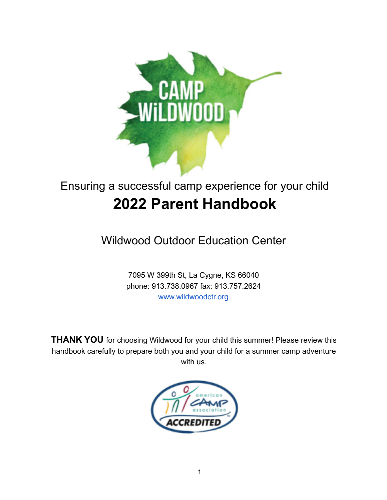

# Ensuring a successful camp experience for your child **2022 Parent Handbook**

Wildwood Outdoor Education Center

7095 W 399th St, La Cygne, KS 66040 phone: 913.738.0967 fax: 913.757.2624 www.wildwoodctr.org

**THANK YOU** for choosing Wildwood for your child this summer! Please review this handbook carefully to prepare both you and your child for a summer camp adventure with us.

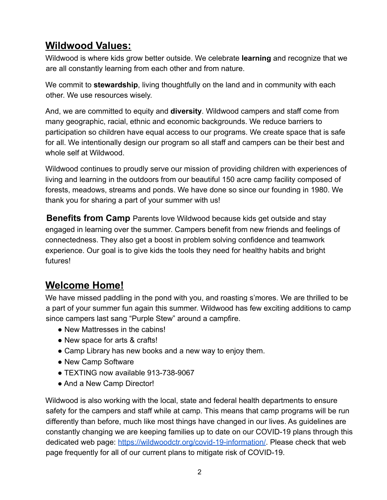# **Wildwood Values:**

Wildwood is where kids grow better outside. We celebrate **learning** and recognize that we are all constantly learning from each other and from nature.

We commit to **stewardship**, living thoughtfully on the land and in community with each other. We use resources wisely.

And, we are committed to equity and **diversity**. Wildwood campers and staff come from many geographic, racial, ethnic and economic backgrounds. We reduce barriers to participation so children have equal access to our programs. We create space that is safe for all. We intentionally design our program so all staff and campers can be their best and whole self at Wildwood.

Wildwood continues to proudly serve our mission of providing children with experiences of living and learning in the outdoors from our beautiful 150 acre camp facility composed of forests, meadows, streams and ponds. We have done so since our founding in 1980. We thank you for sharing a part of your summer with us!

**Benefits from Camp** Parents love Wildwood because kids get outside and stay engaged in learning over the summer. Campers benefit from new friends and feelings of connectedness. They also get a boost in problem solving confidence and teamwork experience. Our goal is to give kids the tools they need for healthy habits and bright futures!

## **Welcome Home!**

We have missed paddling in the pond with you, and roasting s'mores. We are thrilled to be a part of your summer fun again this summer. Wildwood has few exciting additions to camp since campers last sang "Purple Stew" around a campfire.

- New Mattresses in the cabins!
- New space for arts & crafts!
- Camp Library has new books and a new way to enjoy them.
- New Camp Software
- TEXTING now available 913-738-9067
- And a New Camp Director!

Wildwood is also working with the local, state and federal health departments to ensure safety for the campers and staff while at camp. This means that camp programs will be run differently than before, much like most things have changed in our lives. As guidelines are constantly changing we are keeping families up to date on our COVID-19 plans through this dedicated web page: https://wildwoodctr.org/covid-19-information/. Please check that web page frequently for all of our current plans to mitigate risk of COVID-19.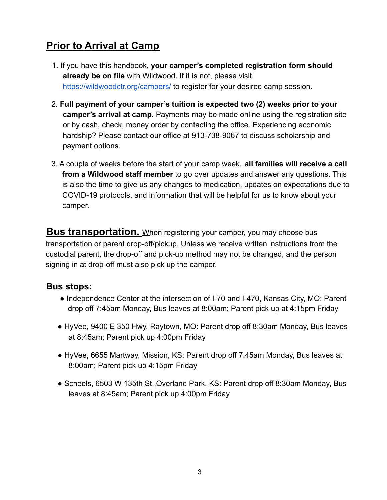# **Prior to Arrival at Camp**

- 1. If you have this handbook, **your camper's completed registration form should already be on file** with Wildwood. If it is not, please visit https://wildwoodctr.org/campers/ to register for your desired camp session.
- 2. **Full payment of your camper's tuition is expected two (2) weeks prior to your camper's arrival at camp.** Payments may be made online using the registration site or by cash, check, money order by contacting the office. Experiencing economic hardship? Please contact our office at 913-738-9067 to discuss scholarship and payment options.
- 3. A couple of weeks before the start of your camp week, **all families will receive a call from a Wildwood staff member** to go over updates and answer any questions. This is also the time to give us any changes to medication, updates on expectations due to COVID-19 protocols, and information that will be helpful for us to know about your camper.

**Bus transportation.** When registering your camper, you may choose bus transportation or parent drop-off/pickup. Unless we receive written instructions from the custodial parent, the drop-off and pick-up method may not be changed, and the person signing in at drop-off must also pick up the camper.

#### **Bus stops:**

- Independence Center at the intersection of I-70 and I-470, Kansas City, MO: Parent drop off 7:45am Monday, Bus leaves at 8:00am; Parent pick up at 4:15pm Friday
- HyVee, 9400 E 350 Hwy, Raytown, MO: Parent drop off 8:30am Monday, Bus leaves at 8:45am; Parent pick up 4:00pm Friday
- HyVee, 6655 Martway, Mission, KS: Parent drop off 7:45am Monday, Bus leaves at 8:00am; Parent pick up 4:15pm Friday
- Scheels, 6503 W 135th St.,Overland Park, KS: Parent drop off 8:30am Monday, Bus leaves at 8:45am; Parent pick up 4:00pm Friday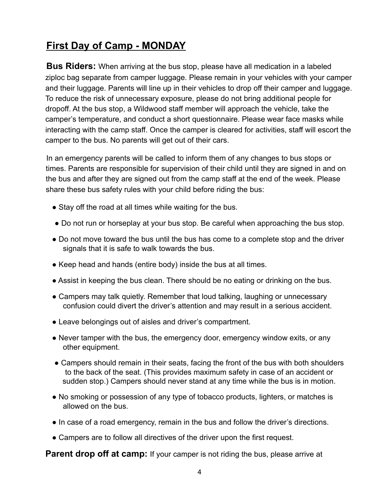# **First Day of Camp - MONDAY**

**Bus Riders:** When arriving at the bus stop, please have all medication in a labeled ziploc bag separate from camper luggage. Please remain in your vehicles with your camper and their luggage. Parents will line up in their vehicles to drop off their camper and luggage. To reduce the risk of unnecessary exposure, please do not bring additional people for dropoff. At the bus stop, a Wildwood staff member will approach the vehicle, take the camper's temperature, and conduct a short questionnaire. Please wear face masks while interacting with the camp staff. Once the camper is cleared for activities, staff will escort the camper to the bus. No parents will get out of their cars.

In an emergency parents will be called to inform them of any changes to bus stops or times. Parents are responsible for supervision of their child until they are signed in and on the bus and after they are signed out from the camp staff at the end of the week. Please share these bus safety rules with your child before riding the bus:

- Stay off the road at all times while waiting for the bus.
- Do not run or horseplay at your bus stop. Be careful when approaching the bus stop.
- Do not move toward the bus until the bus has come to a complete stop and the driver signals that it is safe to walk towards the bus.
- Keep head and hands (entire body) inside the bus at all times.
- Assist in keeping the bus clean. There should be no eating or drinking on the bus.
- Campers may talk quietly. Remember that loud talking, laughing or unnecessary confusion could divert the driver's attention and may result in a serious accident.
- Leave belongings out of aisles and driver's compartment.
- Never tamper with the bus, the emergency door, emergency window exits, or any other equipment.
- Campers should remain in their seats, facing the front of the bus with both shoulders to the back of the seat. (This provides maximum safety in case of an accident or sudden stop.) Campers should never stand at any time while the bus is in motion.
- No smoking or possession of any type of tobacco products, lighters, or matches is allowed on the bus.
- In case of a road emergency, remain in the bus and follow the driver's directions.
- Campers are to follow all directives of the driver upon the first request.

**Parent drop off at camp:** If your camper is not riding the bus, please arrive at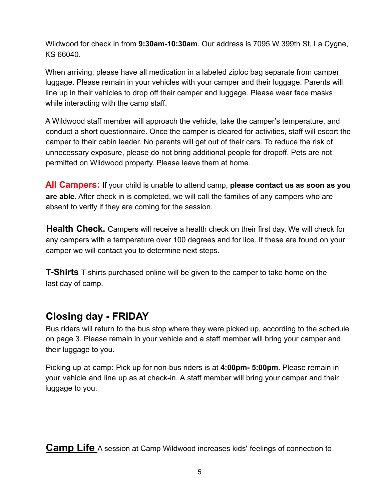Wildwood for check in from **9:30am-10:30am**. Our address is 7095 W 399th St, La Cygne, KS 66040.

When arriving, please have all medication in a labeled ziploc bag separate from camper luggage. Please remain in your vehicles with your camper and their luggage. Parents will line up in their vehicles to drop off their camper and luggage. Please wear face masks while interacting with the camp staff.

A Wildwood staff member will approach the vehicle, take the camper's temperature, and conduct a short questionnaire. Once the camper is cleared for activities, staff will escort the camper to their cabin leader. No parents will get out of their cars. To reduce the risk of unnecessary exposure, please do not bring additional people for dropoff. Pets are not permitted on Wildwood property. Please leave them at home.

**All Campers:** If your child is unable to attend camp, **please contact us as soon as you are able**. After check in is completed, we will call the families of any campers who are absent to verify if they are coming for the session.

**Health Check.** Campers will receive a health check on their first day. We will check for any campers with a temperature over 100 degrees and for lice. If these are found on your camper we will contact you to determine next steps.

**T-Shirts** T-shirts purchased online will be given to the camper to take home on the last day of camp.

## **Closing day - FRIDAY**

Bus riders will return to the bus stop where they were picked up, according to the schedule on page 3. Please remain in your vehicle and a staff member will bring your camper and their luggage to you.

Picking up at camp: Pick up for non-bus riders is at **4:00pm- 5:00pm.** Please remain in your vehicle and line up as at check-in. A staff member will bring your camper and their luggage to you.

**Camp Life** A session at Camp Wildwood increases kids' feelings of connection to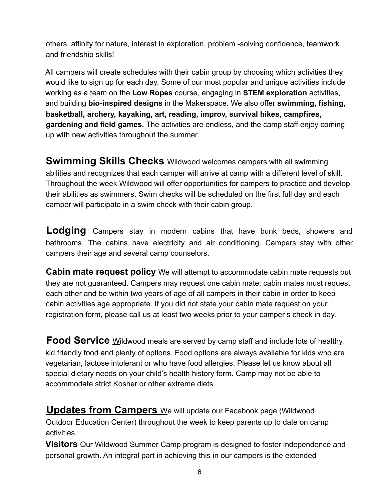others, affinity for nature, interest in exploration, problem -solving confidence, teamwork and friendship skills!

All campers will create schedules with their cabin group by choosing which activities they would like to sign up for each day. Some of our most popular and unique activities include working as a team on the **Low Ropes** course, engaging in **STEM exploration** activities, and building **bio-inspired designs** in the Makerspace. We also offer **swimming, fishing, basketball, archery, kayaking, art, reading, improv, survival hikes, campfires, gardening and field games.** The activities are endless, and the camp staff enjoy coming up with new activities throughout the summer.

**Swimming Skills Checks** Wildwood welcomes campers with all swimming abilities and recognizes that each camper will arrive at camp with a different level of skill. Throughout the week Wildwood will offer opportunities for campers to practice and develop their abilities as swimmers. Swim checks will be scheduled on the first full day and each camper will participate in a swim check with their cabin group.

**Lodging** Campers stay in modern cabins that have bunk beds, showers and bathrooms. The cabins have electricity and air conditioning. Campers stay with other campers their age and several camp counselors.

**Cabin mate request policy** We will attempt to accommodate cabin mate requests but they are not guaranteed. Campers may request one cabin mate; cabin mates must request each other and be within two years of age of all campers in their cabin in order to keep cabin activities age appropriate. If you did not state your cabin mate request on your registration form, please call us at least two weeks prior to your camper's check in day.

**Food Service** Wildwood meals are served by camp staff and include lots of healthy, kid friendly food and plenty of options. Food options are always available for kids who are vegetarian, lactose intolerant or who have food allergies. Please let us know about all special dietary needs on your child's health history form. Camp may not be able to accommodate strict Kosher or other extreme diets.

**Updates from Campers** We will update our Facebook page (Wildwood Outdoor Education Center) throughout the week to keep parents up to date on camp activities.

**Visitors** Our Wildwood Summer Camp program is designed to foster independence and personal growth. An integral part in achieving this in our campers is the extended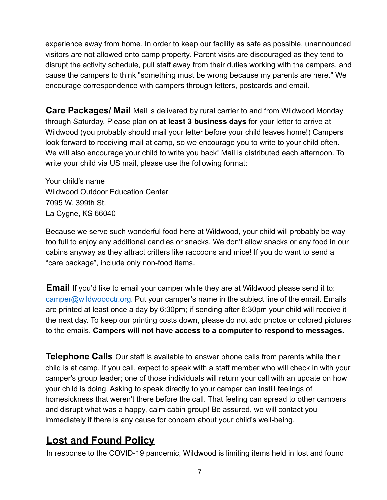experience away from home. In order to keep our facility as safe as possible, unannounced visitors are not allowed onto camp property. Parent visits are discouraged as they tend to disrupt the activity schedule, pull staff away from their duties working with the campers, and cause the campers to think "something must be wrong because my parents are here." We encourage correspondence with campers through letters, postcards and email.

**Care Packages/ Mail** Mail is delivered by rural carrier to and from Wildwood Monday through Saturday. Please plan on **at least 3 business days** for your letter to arrive at Wildwood (you probably should mail your letter before your child leaves home!) Campers look forward to receiving mail at camp, so we encourage you to write to your child often. We will also encourage your child to write you back! Mail is distributed each afternoon. To write your child via US mail, please use the following format:

Your child's name Wildwood Outdoor Education Center 7095 W. 399th St. La Cygne, KS 66040

Because we serve such wonderful food here at Wildwood, your child will probably be way too full to enjoy any additional candies or snacks. We don't allow snacks or any food in our cabins anyway as they attract critters like raccoons and mice! If you do want to send a "care package", include only non-food items.

**Email** If you'd like to email your camper while they are at Wildwood please send it to: camper@wildwoodctr.org. Put your camper's name in the subject line of the email. Emails are printed at least once a day by 6:30pm; if sending after 6:30pm your child will receive it the next day. To keep our printing costs down, please do not add photos or colored pictures to the emails. **Campers will not have access to a computer to respond to messages.**

**Telephone Calls** Our staff is available to answer phone calls from parents while their child is at camp. If you call, expect to speak with a staff member who will check in with your camper's group leader; one of those individuals will return your call with an update on how your child is doing. Asking to speak directly to your camper can instill feelings of homesickness that weren't there before the call. That feeling can spread to other campers and disrupt what was a happy, calm cabin group! Be assured, we will contact you immediately if there is any cause for concern about your child's well-being.

#### **Lost and Found Policy**

In response to the COVID-19 pandemic, Wildwood is limiting items held in lost and found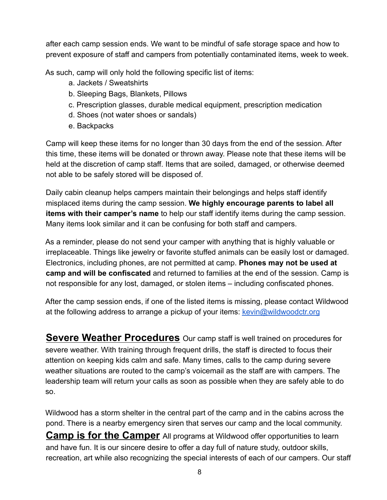after each camp session ends. We want to be mindful of safe storage space and how to prevent exposure of staff and campers from potentially contaminated items, week to week.

As such, camp will only hold the following specific list of items:

- a. Jackets / Sweatshirts
- b. Sleeping Bags, Blankets, Pillows
- c. Prescription glasses, durable medical equipment, prescription medication
- d. Shoes (not water shoes or sandals)
- e. Backpacks

Camp will keep these items for no longer than 30 days from the end of the session. After this time, these items will be donated or thrown away. Please note that these items will be held at the discretion of camp staff. Items that are soiled, damaged, or otherwise deemed not able to be safely stored will be disposed of.

Daily cabin cleanup helps campers maintain their belongings and helps staff identify misplaced items during the camp session. **We highly encourage parents to label all items with their camper's name** to help our staff identify items during the camp session. Many items look similar and it can be confusing for both staff and campers.

As a reminder, please do not send your camper with anything that is highly valuable or irreplaceable. Things like jewelry or favorite stuffed animals can be easily lost or damaged. Electronics, including phones, are not permitted at camp. **Phones may not be used at camp and will be confiscated** and returned to families at the end of the session. Camp is not responsible for any lost, damaged, or stolen items – including confiscated phones.

After the camp session ends, if one of the listed items is missing, please contact Wildwood at the following address to arrange a pickup of your items: [kevin@wildwoodctr.org](mailto:kevin@wildwoodctr.org)

**Severe Weather Procedures** Our camp staff is well trained on procedures for severe weather. With training through frequent drills, the staff is directed to focus their attention on keeping kids calm and safe. Many times, calls to the camp during severe weather situations are routed to the camp's voicemail as the staff are with campers. The leadership team will return your calls as soon as possible when they are safely able to do so.

Wildwood has a storm shelter in the central part of the camp and in the cabins across the pond. There is a nearby emergency siren that serves our camp and the local community. **Camp is for the Camper** All programs at Wildwood offer opportunities to learn and have fun. It is our sincere desire to offer a day full of nature study, outdoor skills, recreation, art while also recognizing the special interests of each of our campers. Our staff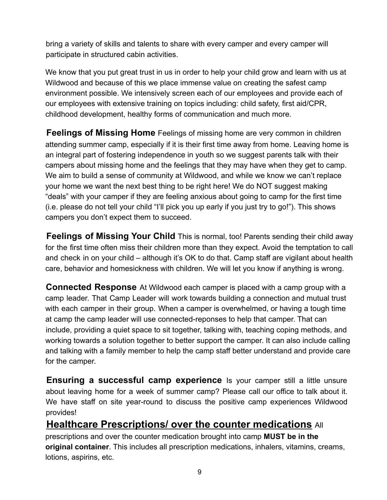bring a variety of skills and talents to share with every camper and every camper will participate in structured cabin activities.

We know that you put great trust in us in order to help your child grow and learn with us at Wildwood and because of this we place immense value on creating the safest camp environment possible. We intensively screen each of our employees and provide each of our employees with extensive training on topics including: child safety, first aid/CPR, childhood development, healthy forms of communication and much more.

**Feelings of Missing Home** Feelings of missing home are very common in children attending summer camp, especially if it is their first time away from home. Leaving home is an integral part of fostering independence in youth so we suggest parents talk with their campers about missing home and the feelings that they may have when they get to camp. We aim to build a sense of community at Wildwood, and while we know we can't replace your home we want the next best thing to be right here! We do NOT suggest making "deals" with your camper if they are feeling anxious about going to camp for the first time (i.e. please do not tell your child "I'll pick you up early if you just try to go!"). This shows campers you don't expect them to succeed.

**Feelings of Missing Your Child** This is normal, too! Parents sending their child away for the first time often miss their children more than they expect. Avoid the temptation to call and check in on your child – although it's OK to do that. Camp staff are vigilant about health care, behavior and homesickness with children. We will let you know if anything is wrong.

**Connected Response** At Wildwood each camper is placed with a camp group with a camp leader. That Camp Leader will work towards building a connection and mutual trust with each camper in their group. When a camper is overwhelmed, or having a tough time at camp the camp leader will use connected-reponses to help that camper. That can include, providing a quiet space to sit together, talking with, teaching coping methods, and working towards a solution together to better support the camper. It can also include calling and talking with a family member to help the camp staff better understand and provide care for the camper.

**Ensuring a successful camp experience** Is your camper still a little unsure about leaving home for a week of summer camp? Please call our office to talk about it. We have staff on site year-round to discuss the positive camp experiences Wildwood provides!

#### **Healthcare Prescriptions/ over the counter medications** All

prescriptions and over the counter medication brought into camp **MUST be in the original container**. This includes all prescription medications, inhalers, vitamins, creams, lotions, aspirins, etc.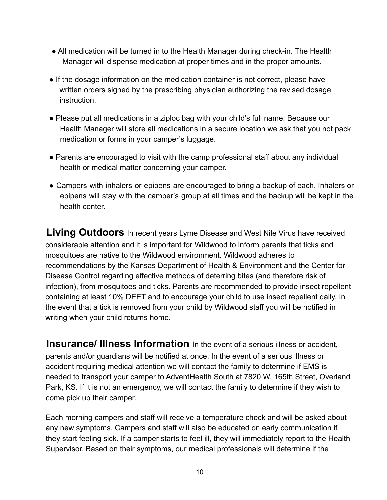- All medication will be turned in to the Health Manager during check-in. The Health Manager will dispense medication at proper times and in the proper amounts.
- If the dosage information on the medication container is not correct, please have written orders signed by the prescribing physician authorizing the revised dosage instruction.
- Please put all medications in a ziploc bag with your child's full name. Because our Health Manager will store all medications in a secure location we ask that you not pack medication or forms in your camper's luggage.
- Parents are encouraged to visit with the camp professional staff about any individual health or medical matter concerning your camper.
- Campers with inhalers or epipens are encouraged to bring a backup of each. Inhalers or epipens will stay with the camper's group at all times and the backup will be kept in the health center.

**Living Outdoors** In recent years Lyme Disease and West Nile Virus have received considerable attention and it is important for Wildwood to inform parents that ticks and mosquitoes are native to the Wildwood environment. Wildwood adheres to recommendations by the Kansas Department of Health & Environment and the Center for Disease Control regarding effective methods of deterring bites (and therefore risk of infection), from mosquitoes and ticks. Parents are recommended to provide insect repellent containing at least 10% DEET and to encourage your child to use insect repellent daily. In the event that a tick is removed from your child by Wildwood staff you will be notified in writing when your child returns home.

**Insurance/ Illness Information** In the event of a serious illness or accident, parents and/or guardians will be notified at once. In the event of a serious illness or accident requiring medical attention we will contact the family to determine if EMS is needed to transport your camper to AdventHealth South at 7820 W. 165th Street, Overland Park, KS. If it is not an emergency, we will contact the family to determine if they wish to come pick up their camper.

Each morning campers and staff will receive a temperature check and will be asked about any new symptoms. Campers and staff will also be educated on early communication if they start feeling sick. If a camper starts to feel ill, they will immediately report to the Health Supervisor. Based on their symptoms, our medical professionals will determine if the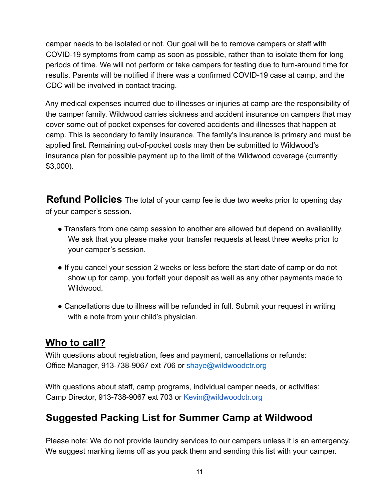camper needs to be isolated or not. Our goal will be to remove campers or staff with COVID-19 symptoms from camp as soon as possible, rather than to isolate them for long periods of time. We will not perform or take campers for testing due to turn-around time for results. Parents will be notified if there was a confirmed COVID-19 case at camp, and the CDC will be involved in contact tracing.

Any medical expenses incurred due to illnesses or injuries at camp are the responsibility of the camper family. Wildwood carries sickness and accident insurance on campers that may cover some out of pocket expenses for covered accidents and illnesses that happen at camp. This is secondary to family insurance. The family's insurance is primary and must be applied first. Remaining out-of-pocket costs may then be submitted to Wildwood's insurance plan for possible payment up to the limit of the Wildwood coverage (currently \$3,000).

**Refund Policies** The total of your camp fee is due two weeks prior to opening day of your camper's session.

- Transfers from one camp session to another are allowed but depend on availability. We ask that you please make your transfer requests at least three weeks prior to your camper's session.
- If you cancel your session 2 weeks or less before the start date of camp or do not show up for camp, you forfeit your deposit as well as any other payments made to Wildwood.
- Cancellations due to illness will be refunded in full. Submit your request in writing with a note from your child's physician.

#### **Who to call?**

With questions about registration, fees and payment, cancellations or refunds: Office Manager, 913-738-9067 ext 706 or shaye@wildwoodctr.org

With questions about staff, camp programs, individual camper needs, or activities: Camp Director, 913-738-9067 ext 703 or Kevin@wildwoodctr.org

#### **Suggested Packing List for Summer Camp at Wildwood**

Please note: We do not provide laundry services to our campers unless it is an emergency. We suggest marking items off as you pack them and sending this list with your camper.